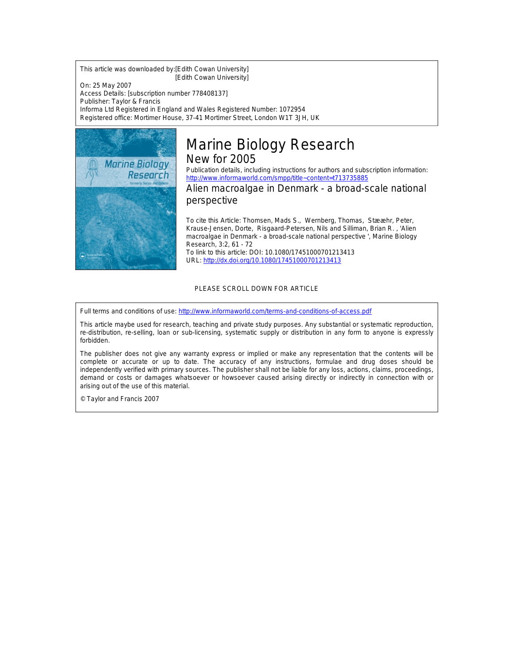This article was downloaded by:[Edith Cowan University] [Edith Cowan University]

On: 25 May 2007 Access Details: [subscription number 778408137] Publisher: Taylor & Francis Informa Ltd Registered in England and Wales Registered Number: 1072954 Registered office: Mortimer House, 37-41 Mortimer Street, London W1T 3JH, UK



# Marine Biology Research New for 2005

Publication details, including instructions for authors and subscription information: <http://www.informaworld.com/smpp/title~content=t713735885>

Alien macroalgae in Denmark - a broad-scale national perspective

To cite this Article: Thomsen, Mads S., Wernberg, Thomas, Stææhr, Peter, Krause-Jensen, Dorte, Risgaard-Petersen, Nils and Silliman, Brian R. , 'Alien macroalgae in Denmark - a broad-scale national perspective ', Marine Biology Research, 3:2, 61 - 72 To link to this article: DOI: 10.1080/17451000701213413 URL: <http://dx.doi.org/10.1080/17451000701213413>

# PLEASE SCROLL DOWN FOR ARTICLE

Full terms and conditions of use: <http://www.informaworld.com/terms-and-conditions-of-access.pdf>

This article maybe used for research, teaching and private study purposes. Any substantial or systematic reproduction, re-distribution, re-selling, loan or sub-licensing, systematic supply or distribution in any form to anyone is expressly forbidden.

The publisher does not give any warranty express or implied or make any representation that the contents will be complete or accurate or up to date. The accuracy of any instructions, formulae and drug doses should be independently verified with primary sources. The publisher shall not be liable for any loss, actions, claims, proceedings, demand or costs or damages whatsoever or howsoever caused arising directly or indirectly in connection with or arising out of the use of this material.

© Taylor and Francis 2007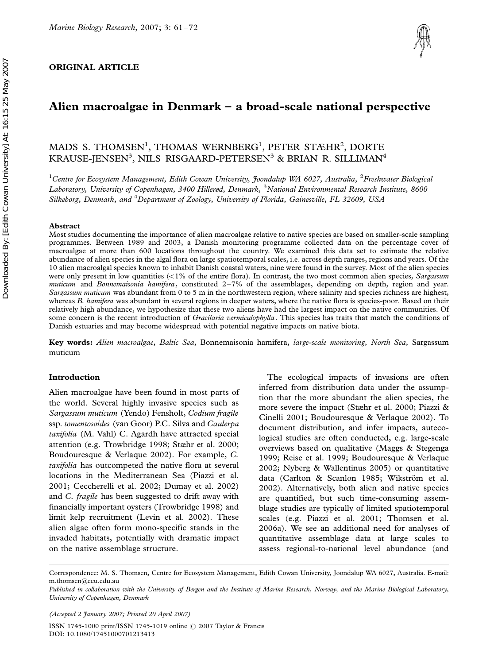# ORIGINAL ARTICLE



# Alien macroalgae in Denmark  $-$  a broad-scale national perspective

# MADS S. THOMSEN<sup>1</sup>, THOMAS WERNBERG<sup>1</sup>, PETER STÆHR<sup>2</sup>, DORTE KRAUSE-JENSEN<sup>3</sup>, NILS RISGAARD-PETERSEN<sup>3</sup> & BRIAN R. SILLIMAN<sup>4</sup>

<sup>1</sup>Centre for Ecosystem Management, Edith Cowan University, Joondalup WA 6027, Australia, <sup>2</sup>Freshwater Biological Laboratory, University of Copenhagen, 3400 Hillerød, Denmark, <sup>3</sup>National Environmental Research Institute, 8600 Silkeborg, Denmark, and <sup>4</sup>Department of Zoology, University of Florida, Gainesville, FL 32609, USA

#### Abstract

Most studies documenting the importance of alien macroalgae relative to native species are based on smaller-scale sampling programmes. Between 1989 and 2003, a Danish monitoring programme collected data on the percentage cover of macroalgae at more than 600 locations throughout the country. We examined this data set to estimate the relative abundance of alien species in the algal flora on large spatiotemporal scales, i.e. across depth ranges, regions and years. Of the 10 alien macroalgal species known to inhabit Danish coastal waters, nine were found in the survey. Most of the alien species were only present in low quantities  $\langle$ <1% of the entire flora). In contrast, the two most common alien species, Sargassum muticum and Bonnemaisonia hamifera, constituted  $2-7\%$  of the assemblages, depending on depth, region and year. Sargassum muticum was abundant from 0 to 5 m in the northwestern region, where salinity and species richness are highest, whereas B. hamifera was abundant in several regions in deeper waters, where the native flora is species-poor. Based on their relatively high abundance, we hypothesize that these two aliens have had the largest impact on the native communities. Of some concern is the recent introduction of Gracilaria vermiculophylla. This species has traits that match the conditions of Danish estuaries and may become widespread with potential negative impacts on native biota.

Key words: Alien macroalgae, Baltic Sea, Bonnemaisonia hamifera, large-scale monitoring, North Sea, Sargassum muticum

#### Introduction

Alien macroalgae have been found in most parts of the world. Several highly invasive species such as Sargassum muticum (Yendo) Fensholt, Codium fragile ssp. tomentosoides (van Goor) P.C. Silva and Caulerpa taxifolia (M. Vahl) C. Agardh have attracted special attention (e.g. Trowbridge 1998; Stæhr et al. 2000; Boudouresque & Verlaque 2002). For example, C. taxifolia has outcompeted the native flora at several locations in the Mediterranean Sea (Piazzi et al. 2001; Ceccherelli et al. 2002; Dumay et al. 2002) and C. fragile has been suggested to drift away with financially important oysters (Trowbridge 1998) and limit kelp recruitment (Levin et al. 2002). These alien algae often form mono-specific stands in the invaded habitats, potentially with dramatic impact on the native assemblage structure.

The ecological impacts of invasions are often inferred from distribution data under the assumption that the more abundant the alien species, the more severe the impact (Stæhr et al. 2000; Piazzi & Cinelli 2001; Boudouresque & Verlaque 2002). To document distribution, and infer impacts, autecological studies are often conducted, e.g. large-scale overviews based on qualitative (Maggs & Stegenga 1999; Reise et al. 1999; Boudouresque & Verlaque 2002; Nyberg & Wallentinus 2005) or quantitative data (Carlton & Scanlon 1985; Wikström et al. 2002). Alternatively, both alien and native species are quantified, but such time-consuming assemblage studies are typically of limited spatiotemporal scales (e.g. Piazzi et al. 2001; Thomsen et al. 2006a). We see an additional need for analyses of quantitative assemblage data at large scales to assess regional-to-national level abundance (and

Correspondence: M. S. Thomsen, Centre for Ecosystem Management, Edith Cowan University, Joondalup WA 6027, Australia. E-mail: m.thomsen@ecu.edu.au

Published in collaboration with the University of Bergen and the Institute of Marine Research, Norway, and the Marine Biological Laboratory, University of Copenhagen, Denmark

(Accepted 2 January 2007; Printed 20 April 2007)

ISSN 1745-1000 print/ISSN 1745-1019 online © 2007 Taylor & Francis DOI: 10.1080/17451000701213413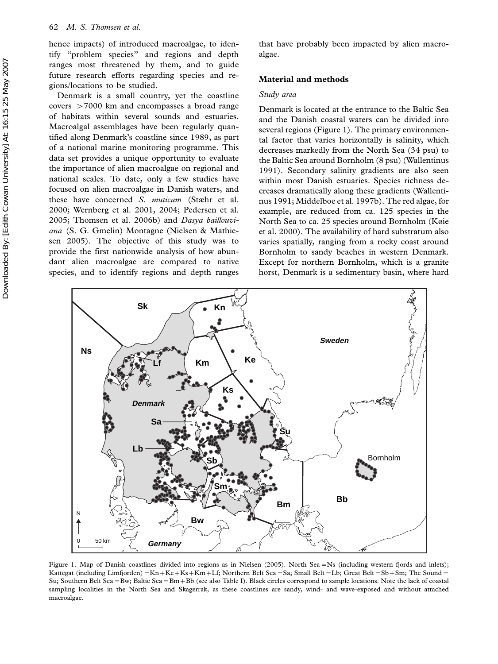hence impacts) of introduced macroalgae, to identify ''problem species'' and regions and depth ranges most threatened by them, and to guide future research efforts regarding species and regions/locations to be studied.

Denmark is a small country, yet the coastline covers -7000 km and encompasses a broad range of habitats within several sounds and estuaries. Macroalgal assemblages have been regularly quantified along Denmark's coastline since 1989, as part of a national marine monitoring programme. This data set provides a unique opportunity to evaluate the importance of alien macroalgae on regional and national scales. To date, only a few studies have focused on alien macroalgae in Danish waters, and these have concerned S. muticum (Stæhr et al. 2000; Wernberg et al. 2001, 2004; Pedersen et al. 2005; Thomsen et al. 2006b) and Dasya baillouviana (S. G. Gmelin) Montagne (Nielsen & Mathiesen 2005). The objective of this study was to provide the first nationwide analysis of how abundant alien macroalgae are compared to native species, and to identify regions and depth ranges

that have probably been impacted by alien macroalgae.

### Material and methods

#### Study area

Denmark is located at the entrance to the Baltic Sea and the Danish coastal waters can be divided into several regions (Figure 1). The primary environmental factor that varies horizontally is salinity, which decreases markedly from the North Sea (34 psu) to the Baltic Sea around Bornholm (8 psu) (Wallentinus 1991). Secondary salinity gradients are also seen within most Danish estuaries. Species richness decreases dramatically along these gradients (Wallentinus 1991; Middelboe et al. 1997b). The red algae, for example, are reduced from ca. 125 species in the North Sea to ca. 25 species around Bornholm (Køie et al. 2000). The availability of hard substratum also varies spatially, ranging from a rocky coast around Bornholm to sandy beaches in western Denmark. Except for northern Bornholm, which is a granite horst, Denmark is a sedimentary basin, where hard



Figure 1. Map of Danish coastlines divided into regions as in Nielsen (2005). North Sea-Ns (including western fjords and inlets); Kattegat (including Limfjorden) = Kn + Ke + Ks + Km + Lf; Northern Belt Sea = Sa; Small Belt = Lb; Great Belt = Sb + Sm; The Sound = Su; Southern Belt Sea =Bw; Baltic Sea =Bm+Bb (see also Table I). Black circles correspond to sample locations. Note the lack of coastal sampling localities in the North Sea and Skagerrak, as these coastlines are sandy, wind- and wave-exposed and without attached macroalgae.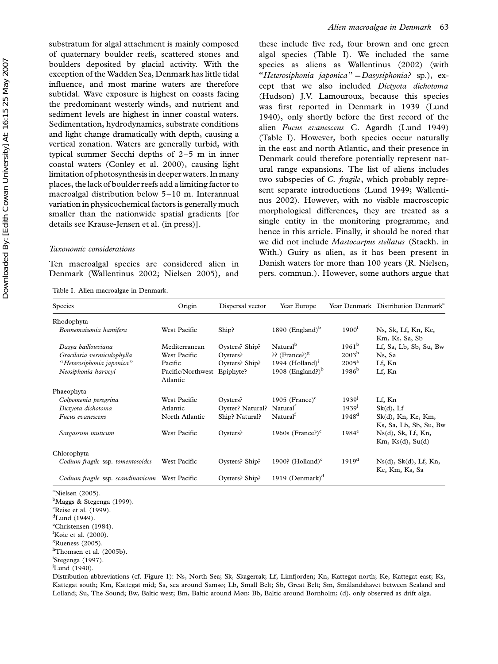substratum for algal attachment is mainly composed of quaternary boulder reefs, scattered stones and boulders deposited by glacial activity. With the exception of the Wadden Sea, Denmark has little tidal influence, and most marine waters are therefore subtidal. Wave exposure is highest on coasts facing the predominant westerly winds, and nutrient and sediment levels are highest in inner coastal waters. Sedimentation, hydrodynamics, substrate conditions and light change dramatically with depth, causing a vertical zonation. Waters are generally turbid, with typical summer Secchi depths of  $2-5$  m in inner coastal waters (Conley et al. 2000), causing light limitation of photosynthesis in deeper waters. In many places, the lack of boulder reefs add a limiting factor to macroalgal distribution below  $5-10$  m. Interannual variation in physicochemical factors is generally much smaller than the nationwide spatial gradients [for details see Krause-Jensen et al. (in press)].

#### Taxonomic considerations

Ten macroalgal species are considered alien in Denmark (Wallentinus 2002; Nielsen 2005), and

Table I. Alien macroalgae in Denmark.

these include five red, four brown and one green algal species (Table I). We included the same species as aliens as Wallentinus (2002) (with "Heterosiphonia japonica" = Dasysiphonia? sp.), except that we also included Dictyota dichotoma (Hudson) J.V. Lamouroux, because this species was first reported in Denmark in 1939 (Lund 1940), only shortly before the first record of the alien Fucus evanescens C. Agardh (Lund 1949) (Table I). However, both species occur naturally in the east and north Atlantic, and their presence in Denmark could therefore potentially represent natural range expansions. The list of aliens includes two subspecies of C. fragile, which probably represent separate introductions (Lund 1949; Wallentinus 2002). However, with no visible macroscopic morphological differences, they are treated as a single entity in the monitoring programme, and hence in this article. Finally, it should be noted that we did not include Mastocarpus stellatus (Stackh. in With.) Guiry as alien, as it has been present in Danish waters for more than 100 years (R. Nielsen, pers. commun.). However, some authors argue that

| <b>Species</b>                    | Origin                        | Dispersal vector | Year Europe                   |                   | Year Denmark Distribution Denmark <sup>a</sup>      |
|-----------------------------------|-------------------------------|------------------|-------------------------------|-------------------|-----------------------------------------------------|
| Rhodophyta                        |                               |                  |                               |                   |                                                     |
| Bonnemaisonia hamifera            | West Pacific                  | Ship?            | 1890 (England) $b$            | $1900^{\text{t}}$ | Ns, Sk, Lf, Kn, Ke,<br>Km, Ks, Sa, Sb               |
| Dasya baillouviana                | Mediterranean                 | Oysters? Ship?   | Natural <sup>b</sup>          | $1961^{\rm b}$    | Lf, Sa, Lb, Sb, Su, Bw                              |
| Gracilaria vermiculophylla        | West Pacific                  | Oysters?         | ?? $(France?)^g$              | $2003^{\rm h}$    | Ns, Sa                                              |
| "Heterosiphonia japonica"         | Pacific                       | Oysters? Ship?   | 1994 (Holland) $^1$           | $2005^{\rm a}$    | Lf, Kn                                              |
| Neosiphonia harveyi               | Pacific/Northwest<br>Atlantic | Epiphyte?        | 1908 (England?) $b$           | $1986^{\rm b}$    | Lf, Kn                                              |
| Phaeophyta                        |                               |                  |                               |                   |                                                     |
| Colpomenia peregrina              | West Pacific                  | Oysters?         | 1905 (France) $\rm^{c}$       | 1939'             | Lf, Kn                                              |
| Dictyota dichotoma                | Atlantic                      | Oyster? Natural? | Natural <sup>1</sup>          | 1939'             | $Sk(d)$ , Lf                                        |
| Fucus evanescens                  | North Atlantic                | Ship? Natural?   | Natural <sup>1</sup>          | 1948 <sup>d</sup> | $Sk(d)$ , Kn, Ke, Km,<br>Ks, Sa, Lb, Sb, Su, Bw     |
| Sargassum muticum                 | West Pacific                  | Oysters?         | 1960s (France?) $\textdegree$ | $1984^e$          | $Ns(d)$ , Sk, Lf, Kn,<br>$Km$ , $Ks(d)$ , $Su(d)$   |
| Chlorophyta                       |                               |                  |                               |                   |                                                     |
| Codium fragile ssp. tomentosoides | West Pacific                  | Oysters? Ship?   | 1900? (Holland) $\text{c}$    | 1919 <sup>d</sup> | $Ns(d)$ , $Sk(d)$ , $Lf$ , $Kn$ ,<br>Ke, Km, Ks, Sa |
| Codium fragile ssp. scandinavicum | West Pacific                  | Oysters? Ship?   | 1919 (Denmark) $d$            |                   |                                                     |

<sup>a</sup>Nielsen (2005).

<sup>b</sup>Maggs & Stegenga (1999). <sup>c</sup>Reise et al. (1999).  $d$ Lund (1949). e Christensen (1984). f Køie et al. (2000). <sup>g</sup>Rueness (2005). <sup>h</sup>Thomsen et al. (2005b). <sup>i</sup>Stegenga (1997). <sup>j</sup>Lund (1940).

Distribution abbreviations (cf. Figure 1): Ns, North Sea; Sk, Skagerrak; Lf, Limfjorden; Kn, Kattegat north; Ke, Kattegat east; Ks, Kattegat south; Km, Kattegat mid; Sa, sea around Samsø; Lb, Small Belt; Sb, Great Belt; Sm, Smålandshavet between Sealand and Lolland; Su, The Sound; Bw, Baltic west; Bm, Baltic around Møn; Bb, Baltic around Bornholm; (d), only observed as drift alga.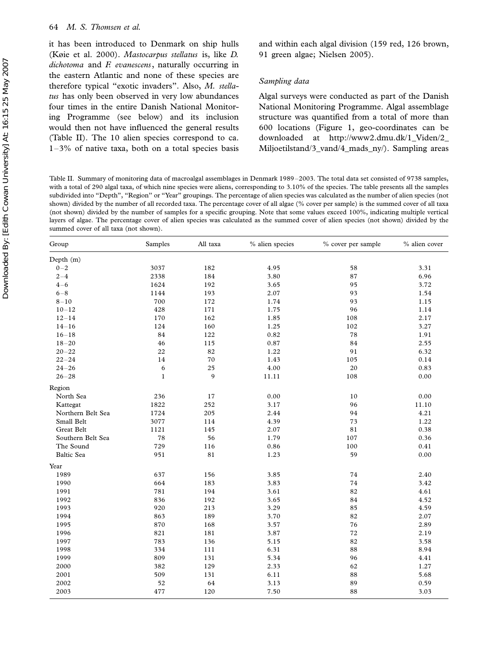it has been introduced to Denmark on ship hulls (Køie et al. 2000). Mastocarpus stellatus is, like D.  $dichotoma$  and  $F.$  evanescens, naturally occurring in the eastern Atlantic and none of these species are therefore typical ''exotic invaders''. Also, M. stellatus has only been observed in very low abundances four times in the entire Danish National Monitoring Programme (see below) and its inclusion would then not have influenced the general results (Table II). The 10 alien species correspond to ca.  $1-3\%$  of native taxa, both on a total species basis

and within each algal division (159 red, 126 brown, 91 green algae; Nielsen 2005).

#### Sampling data

Algal surveys were conducted as part of the Danish National Monitoring Programme. Algal assemblage structure was quantified from a total of more than 600 locations (Figure 1, geo-coordinates can be downloaded at http://www2.dmu.dk/1\_Viden/2\_ Miljoetilstand/3\_vand/4\_mads\_ny/). Sampling areas

Table II. Summary of monitoring data of macroalgal assemblages in Denmark 1989-2003. The total data set consisted of 9738 samples, with a total of 290 algal taxa, of which nine species were aliens, corresponding to 3.10% of the species. The table presents all the samples subdivided into "Depth", "Region" or "Year" groupings. The percentage of alien species was calculated as the number of alien species (not shown) divided by the number of all recorded taxa. The percentage cover of all algae (% cover per sample) is the summed cover of all taxa (not shown) divided by the number of samples for a specific grouping. Note that some values exceed 100%, indicating multiple vertical layers of algae. The percentage cover of alien species was calculated as the summed cover of alien species (not shown) divided by the summed cover of all taxa (not shown).

| Group             | Samples      | All taxa | % alien species | % cover per sample | % alien cover |
|-------------------|--------------|----------|-----------------|--------------------|---------------|
| Depth (m)         |              |          |                 |                    |               |
| $0 - 2$           | 3037         | 182      | 4.95            | 58                 | 3.31          |
| $2 - 4$           | 2338         | 184      | 3.80            | 87                 | 6.96          |
| $4 - 6$           | 1624         | 192      | 3.65            | 95                 | 3.72          |
| $6 - 8$           | 1144         | 193      | 2.07            | 93                 | 1.54          |
| $8 - 10$          | 700          | 172      | 1.74            | 93                 | 1.15          |
| $10 - 12$         | 428          | 171      | 1.75            | 96                 | 1.14          |
| $12 - 14$         | 170          | 162      | 1.85            | 108                | 2.17          |
| $14 - 16$         | 124          | 160      | 1.25            | 102                | 3.27          |
| $16 - 18$         | 84           | 122      | 0.82            | 78                 | 1.91          |
| $18 - 20$         | 46           | 115      | 0.87            | 84                 | 2.55          |
| $20 - 22$         | 22           | 82       | 1.22            | 91                 | 6.32          |
| $22 - 24$         | 14           | 70       | 1.43            | 105                | 0.14          |
| $24 - 26$         | 6            | 25       | 4.00            | 20                 | 0.83          |
| $26 - 28$         | $\mathbf{1}$ | 9        | 11.11           | 108                | 0.00          |
| Region            |              |          |                 |                    |               |
| North Sea         | 236          | 17       | 0.00            | 10                 | 0.00          |
| Kattegat          | 1822         | 252      | 3.17            | 96                 | 11.10         |
| Northern Belt Sea | 1724         | 205      | 2.44            | 94                 | 4.21          |
| Small Belt        | 3077         | 114      | 4.39            | 73                 | 1.22          |
| Great Belt        | 1121         | 145      | 2.07            | 81                 | 0.38          |
| Southern Belt Sea | 78           | 56       | 1.79            | 107                | 0.36          |
| The Sound         | 729          | 116      | 0.86            | 100                | $0.41\,$      |
| <b>Baltic Sea</b> | 951          | 81       | 1.23            | 59                 | 0.00          |
| Year              |              |          |                 |                    |               |
| 1989              | 637          | 156      | 3.85            | $74\,$             | 2.40          |
| 1990              | 664          | 183      | 3.83            | 74                 | 3.42          |
| 1991              | 781          | 194      | 3.61            | 82                 | 4.61          |
| 1992              | 836          | 192      | 3.65            | 84                 | 4.52          |
| 1993              | 920          | 213      | 3.29            | 85                 | 4.59          |
| 1994              | 863          | 189      | 3.70            | 82                 | 2.07          |
| 1995              | 870          | 168      | 3.57            | 76                 | 2.89          |
| 1996              | 821          | 181      | 3.87            | 72                 | 2.19          |
| 1997              | 783          | 136      | 5.15            | 82                 | 3.58          |
| 1998              | 334          | 111      | 6.31            | 88                 | 8.94          |
| 1999              | 809          | 131      | 5.34            | 96                 | 4.41          |
| 2000              | 382          | 129      | 2.33            | 62                 | 1.27          |
| 2001              | 509          | 131      | 6.11            | 88                 | 5.68          |
| 2002              | 52           | 64       | 3.13            | 89                 | 0.59          |
| 2003              | 477          | 120      | 7.50            | 88                 | 3.03          |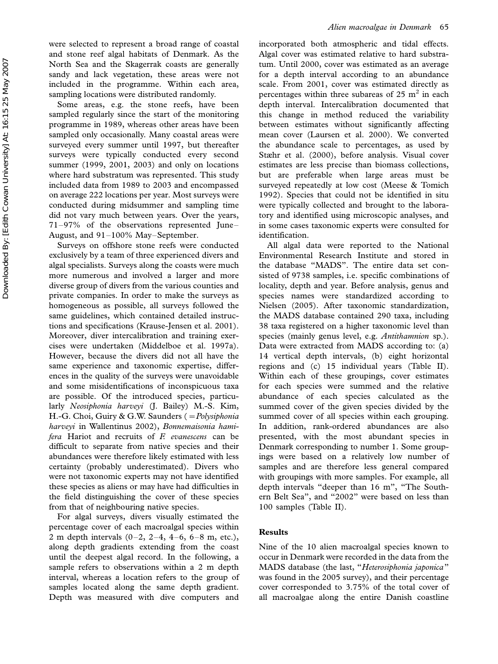were selected to represent a broad range of coastal and stone reef algal habitats of Denmark. As the North Sea and the Skagerrak coasts are generally sandy and lack vegetation, these areas were not included in the programme. Within each area, sampling locations were distributed randomly.

Some areas, e.g. the stone reefs, have been sampled regularly since the start of the monitoring programme in 1989, whereas other areas have been sampled only occasionally. Many coastal areas were surveyed every summer until 1997, but thereafter surveys were typically conducted every second summer (1999, 2001, 2003) and only on locations where hard substratum was represented. This study included data from 1989 to 2003 and encompassed on average 222 locations per year. Most surveys were conducted during midsummer and sampling time did not vary much between years. Over the years, 71-97% of the observations represented June-August, and 91-100% May-September.

Surveys on offshore stone reefs were conducted exclusively by a team of three experienced divers and algal specialists. Surveys along the coasts were much more numerous and involved a larger and more diverse group of divers from the various counties and private companies. In order to make the surveys as homogeneous as possible, all surveys followed the same guidelines, which contained detailed instructions and specifications (Krause-Jensen et al. 2001). Moreover, diver intercalibration and training exercises were undertaken (Middelboe et al. 1997a). However, because the divers did not all have the same experience and taxonomic expertise, differences in the quality of the surveys were unavoidable and some misidentifications of inconspicuous taxa are possible. Of the introduced species, particularly Neosiphonia harveyi (J. Bailey) M.-S. Kim, H.-G. Choi, Guiry & G.W. Saunders (= Polysiphonia harveyi in Wallentinus 2002), Bonnemaisonia hami $fera$  Hariot and recruits of  $F.$  evanescens can be difficult to separate from native species and their abundances were therefore likely estimated with less certainty (probably underestimated). Divers who were not taxonomic experts may not have identified these species as aliens or may have had difficulties in the field distinguishing the cover of these species from that of neighbouring native species.

For algal surveys, divers visually estimated the percentage cover of each macroalgal species within 2 m depth intervals  $(0-2, 2-4, 4-6, 6-8 \text{ m}, \text{etc.})$ , along depth gradients extending from the coast until the deepest algal record. In the following, a sample refers to observations within a 2 m depth interval, whereas a location refers to the group of samples located along the same depth gradient. Depth was measured with dive computers and

incorporated both atmospheric and tidal effects. Algal cover was estimated relative to hard substratum. Until 2000, cover was estimated as an average for a depth interval according to an abundance scale. From 2001, cover was estimated directly as percentages within three subareas of 25  $m<sup>2</sup>$  in each depth interval. Intercalibration documented that this change in method reduced the variability between estimates without significantly affecting mean cover (Laursen et al. 2000). We converted the abundance scale to percentages, as used by Stæhr et al. (2000), before analysis. Visual cover estimates are less precise than biomass collections, but are preferable when large areas must be surveyed repeatedly at low cost (Meese & Tomich 1992). Species that could not be identified in situ were typically collected and brought to the laboratory and identified using microscopic analyses, and in some cases taxonomic experts were consulted for identification.

All algal data were reported to the National Environmental Research Institute and stored in the database ''MADS''. The entire data set consisted of 9738 samples, i.e. specific combinations of locality, depth and year. Before analysis, genus and species names were standardized according to Nielsen (2005). After taxonomic standardization, the MADS database contained 290 taxa, including 38 taxa registered on a higher taxonomic level than species (mainly genus level, e.g. Antithamnion sp.). Data were extracted from MADS according to: (a) 14 vertical depth intervals, (b) eight horizontal regions and (c) 15 individual years (Table II). Within each of these groupings, cover estimates for each species were summed and the relative abundance of each species calculated as the summed cover of the given species divided by the summed cover of all species within each grouping. In addition, rank-ordered abundances are also presented, with the most abundant species in Denmark corresponding to number 1. Some groupings were based on a relatively low number of samples and are therefore less general compared with groupings with more samples. For example, all depth intervals ''deeper than 16 m'', ''The Southern Belt Sea", and "2002" were based on less than 100 samples (Table II).

### Results

Nine of the 10 alien macroalgal species known to occur in Denmark were recorded in the data from the MADS database (the last, "Heterosiphonia japonica" was found in the 2005 survey), and their percentage cover corresponded to 3.75% of the total cover of all macroalgae along the entire Danish coastline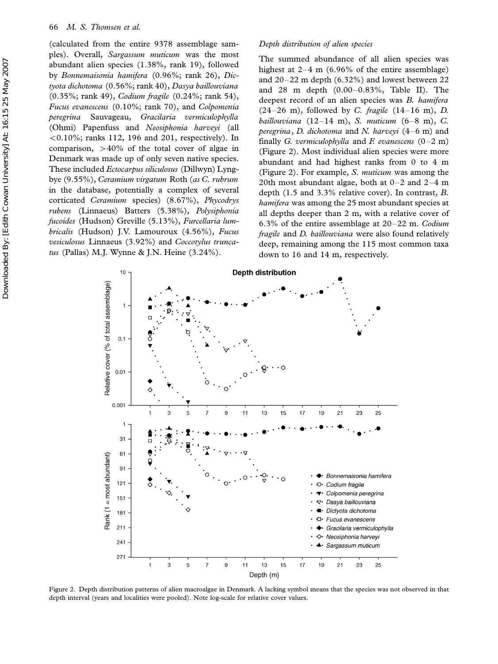(calculated from the entire 9378 assemblage samples). Overall, Sargassum muticum was the most abundant alien species (1.38%, rank 19), followed by Bonnemaisonia hamifera (0.96%; rank 26), Dictyota dichotoma (0.56%; rank 40), Dasya baillouviana (0.35%; rank 49), Codium fragile (0.24%; rank 54), Fucus evanescens (0.10%; rank 70), and Colpomenia peregrina Sauvageau, Gracilaria vermiculophylla (Ohmi) Papenfuss and Neosiphonia harveyi (all  $0.10\%$ ; ranks 112, 196 and 201, respectively). In comparison,  $>40\%$  of the total cover of algae in Denmark was made up of only seven native species. These included Ectocarpus siliculosus (Dillwyn) Lyngbye (9.55%), Ceramium virgatum Roth (as C. rubrum in the database, potentially a complex of several corticated Ceramium species) (8.67%), Phycodrys rubens (Linnaeus) Batters (5.38%), Polysiphonia fucoides (Hudson) Greville (5.13%), Furcellaria lumbricalis (Hudson) J.V. Lamouroux (4.56%), Fucus vesiculosus Linnaeus (3.92%) and Coccotylus truncatus (Pallas) M.J. Wynne & J.N. Heine (3.24%).

# Depth distribution of alien species

The summed abundance of all alien species was highest at  $2-4$  m (6.96% of the entire assemblage) and  $20-22$  m depth (6.32%) and lowest between 22 and 28 m depth  $(0.00-0.83\% ,$  Table II). The deepest record of an alien species was B. hamifera  $(24-26 \text{ m})$ , followed by C. fragile  $(14-16 \text{ m})$ , D. baillouviana (12-14 m), S. muticum (6-8 m), C. peregrina, D. dichotoma and N. harveyi  $(4-6 \text{ m})$  and finally G. vermiculophylla and F. evanescens  $(0-2 \text{ m})$ (Figure 2). Most individual alien species were more abundant and had highest ranks from 0 to 4 m (Figure 2). For example, S. muticum was among the 20th most abundant algae, both at  $0-2$  and  $2-4$  m depth (1.5 and 3.3% relative cover). In contrast, B. hamifera was among the 25 most abundant species at all depths deeper than 2 m, with a relative cover of 6.3% of the entire assemblage at  $20-22$  m. Codium fragile and D. baillouviana were also found relatively deep, remaining among the 115 most common taxa down to 16 and 14 m, respectively.



Figure 2. Depth distribution patterns of alien macroalgae in Denmark. A lacking symbol means that the species was not observed in that depth interval (years and localities were pooled). Note log-scale for relative cover values.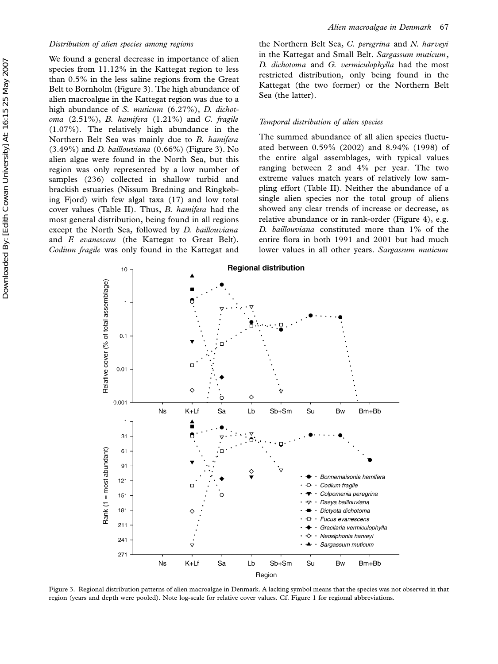We found a general decrease in importance of alien species from 11.12% in the Kattegat region to less than 0.5% in the less saline regions from the Great Belt to Bornholm (Figure 3). The high abundance of alien macroalgae in the Kattegat region was due to a high abundance of S. muticum (6.27%), D. dichotoma  $(2.51\%)$ , B. hamifera  $(1.21\%)$  and C. fragile (1.07%). The relatively high abundance in the Northern Belt Sea was mainly due to B. hamifera  $(3.49\%)$  and *D. baillouviana*  $(0.66\%)$  (Figure 3). No alien algae were found in the North Sea, but this region was only represented by a low number of samples (236) collected in shallow turbid and brackish estuaries (Nissum Bredning and Ringkøbing Fjord) with few algal taxa (17) and low total cover values (Table II). Thus, B. hamifera had the most general distribution, being found in all regions except the North Sea, followed by D. baillouviana and F. evanescens (the Kattegat to Great Belt). Codium fragile was only found in the Kattegat and

the Northern Belt Sea, C. peregrina and N. harveyi in the Kattegat and Small Belt. Sargassum muticum, D. dichotoma and G. vermiculophylla had the most restricted distribution, only being found in the Kattegat (the two former) or the Northern Belt Sea (the latter).

#### Temporal distribution of alien species

The summed abundance of all alien species fluctuated between 0.59% (2002) and 8.94% (1998) of the entire algal assemblages, with typical values ranging between 2 and 4% per year. The two extreme values match years of relatively low sampling effort (Table II). Neither the abundance of a single alien species nor the total group of aliens showed any clear trends of increase or decrease, as relative abundance or in rank-order (Figure 4), e.g. D. baillouviana constituted more than 1% of the entire flora in both 1991 and 2001 but had much lower values in all other years. Sargassum muticum



Figure 3. Regional distribution patterns of alien macroalgae in Denmark. A lacking symbol means that the species was not observed in that region (years and depth were pooled). Note log-scale for relative cover values. Cf. Figure 1 for regional abbreviations.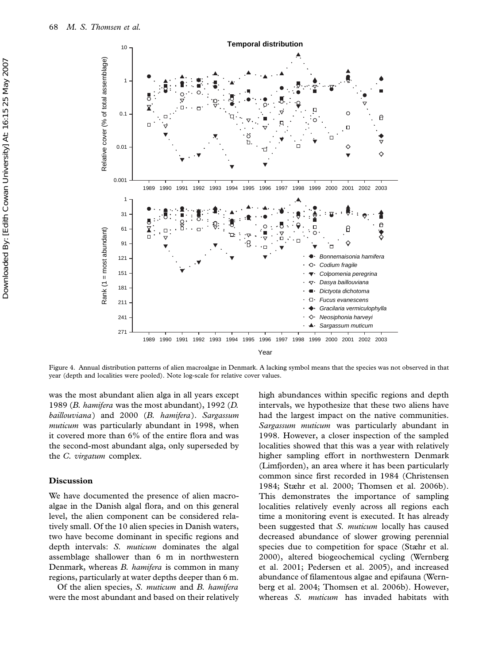

Figure 4. Annual distribution patterns of alien macroalgae in Denmark. A lacking symbol means that the species was not observed in that year (depth and localities were pooled). Note log-scale for relative cover values.

was the most abundant alien alga in all years except 1989 (B. hamifera was the most abundant), 1992 (D. baillouviana) and 2000 (B. hamifera). Sargassum muticum was particularly abundant in 1998, when it covered more than 6% of the entire flora and was the second-most abundant alga, only superseded by the C. virgatum complex.

## Discussion

We have documented the presence of alien macroalgae in the Danish algal flora, and on this general level, the alien component can be considered relatively small. Of the 10 alien species in Danish waters, two have become dominant in specific regions and depth intervals: S. muticum dominates the algal assemblage shallower than 6 m in northwestern Denmark, whereas B. hamifera is common in many regions, particularly at water depths deeper than 6 m.

Of the alien species, S. muticum and B. hamifera were the most abundant and based on their relatively high abundances within specific regions and depth intervals, we hypothesize that these two aliens have had the largest impact on the native communities. Sargassum muticum was particularly abundant in 1998. However, a closer inspection of the sampled localities showed that this was a year with relatively higher sampling effort in northwestern Denmark (Limfjorden), an area where it has been particularly common since first recorded in 1984 (Christensen 1984; Stæhr et al. 2000; Thomsen et al. 2006b). This demonstrates the importance of sampling localities relatively evenly across all regions each time a monitoring event is executed. It has already been suggested that S. muticum locally has caused decreased abundance of slower growing perennial species due to competition for space (Stæhr et al. 2000), altered biogeochemical cycling (Wernberg et al. 2001; Pedersen et al. 2005), and increased abundance of filamentous algae and epifauna (Wernberg et al. 2004; Thomsen et al. 2006b). However, whereas S. muticum has invaded habitats with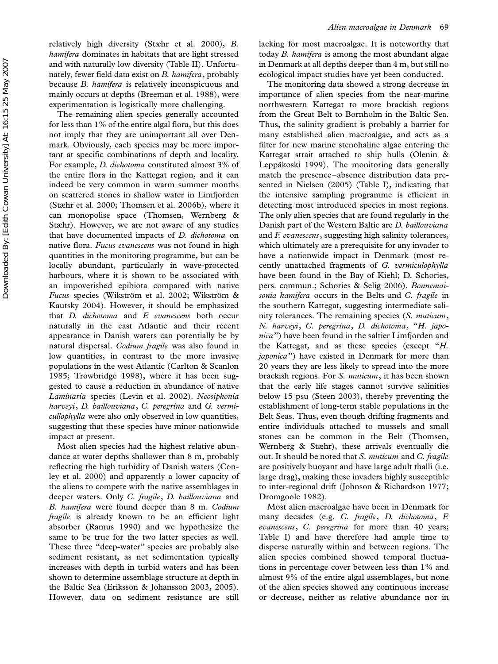relatively high diversity (Stæhr et al. 2000), B. hamifera dominates in habitats that are light stressed and with naturally low diversity (Table II). Unfortunately, fewer field data exist on B. hamifera, probably because B. hamifera is relatively inconspicuous and mainly occurs at depths (Breeman et al. 1988), were experimentation is logistically more challenging.

The remaining alien species generally accounted for less than 1% of the entire algal flora, but this does not imply that they are unimportant all over Denmark. Obviously, each species may be more important at specific combinations of depth and locality. For example, D. dichotoma constituted almost 3% of the entire flora in the Kattegat region, and it can indeed be very common in warm summer months on scattered stones in shallow water in Limfjorden (Stæhr et al. 2000; Thomsen et al. 2006b), where it can monopolise space (Thomsen, Wernberg & Stæhr). However, we are not aware of any studies that have documented impacts of D. dichotoma on native flora. Fucus evanescens was not found in high quantities in the monitoring programme, but can be locally abundant, particularly in wave-protected harbours, where it is shown to be associated with an impoverished epibiota compared with native Fucus species (Wikström et al. 2002; Wikström & Kautsky 2004). However, it should be emphasized that D. dichotoma and F. evanescens both occur naturally in the east Atlantic and their recent appearance in Danish waters can potentially be by natural dispersal. Codium fragile was also found in low quantities, in contrast to the more invasive populations in the west Atlantic (Carlton & Scanlon 1985; Trowbridge 1998), where it has been suggested to cause a reduction in abundance of native Laminaria species (Levin et al. 2002). Neosiphonia harveyi, D. baillouviana, C. peregrina and G. vermicullophylla were also only observed in low quantities, suggesting that these species have minor nationwide impact at present.

Most alien species had the highest relative abundance at water depths shallower than 8 m, probably reflecting the high turbidity of Danish waters (Conley et al. 2000) and apparently a lower capacity of the aliens to compete with the native assemblages in deeper waters. Only C. fragile, D. baillouviana and B. hamifera were found deeper than 8 m. Codium *fragile* is already known to be an efficient light absorber (Ramus 1990) and we hypothesize the same to be true for the two latter species as well. These three "deep-water" species are probably also sediment resistant, as net sedimentation typically increases with depth in turbid waters and has been shown to determine assemblage structure at depth in the Baltic Sea (Eriksson & Johansson 2003, 2005). However, data on sediment resistance are still

lacking for most macroalgae. It is noteworthy that today B. hamifera is among the most abundant algae in Denmark at all depths deeper than 4 m, but still no ecological impact studies have yet been conducted.

The monitoring data showed a strong decrease in importance of alien species from the near-marine northwestern Kattegat to more brackish regions from the Great Belt to Bornholm in the Baltic Sea. Thus, the salinity gradient is probably a barrier for many established alien macroalgae, and acts as a filter for new marine stenohaline algae entering the Kattegat strait attached to ship hulls (Olenin & Leppäkoski 1999). The monitoring data generally match the presence-absence distribution data presented in Nielsen (2005) (Table I), indicating that the intensive sampling programme is efficient in detecting most introduced species in most regions. The only alien species that are found regularly in the Danish part of the Western Baltic are D. baillouviana and F. evanescens, suggesting high salinity tolerances, which ultimately are a prerequisite for any invader to have a nationwide impact in Denmark (most recently unattached fragments of G. vermiculophylla have been found in the Bay of Kiehl; D. Schories, pers. commun.; Schories & Selig 2006). Bonnemaisonia hamifera occurs in the Belts and C. fragile in the southern Kattegat, suggesting intermediate salinity tolerances. The remaining species (S. muticum, N. harveyi, C. peregrina, D. dichotoma, ''H. japonica'') have been found in the saltier Limfjorden and the Kattegat, and as these species (except ''H. japonica'') have existed in Denmark for more than 20 years they are less likely to spread into the more brackish regions. For S. muticum, it has been shown that the early life stages cannot survive salinities below 15 psu (Steen 2003), thereby preventing the establishment of long-term stable populations in the Belt Seas. Thus, even though drifting fragments and entire individuals attached to mussels and small stones can be common in the Belt (Thomsen, Wernberg & Stæhr), these arrivals eventually die out. It should be noted that S. muticum and C. fragile are positively buoyant and have large adult thalli (i.e. large drag), making these invaders highly susceptible to inter-regional drift (Johnson & Richardson 1977; Dromgoole 1982).

Most alien macroalgae have been in Denmark for many decades (e.g. C. fragile, D. dichotoma, F. evanescens, C. peregrina for more than 40 years; Table I) and have therefore had ample time to disperse naturally within and between regions. The alien species combined showed temporal fluctuations in percentage cover between less than 1% and almost 9% of the entire algal assemblages, but none of the alien species showed any continuous increase or decrease, neither as relative abundance nor in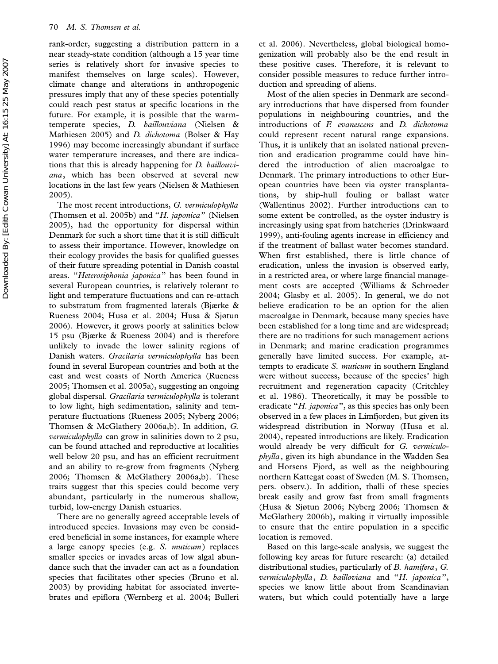rank-order, suggesting a distribution pattern in a near steady-state condition (although a 15 year time series is relatively short for invasive species to manifest themselves on large scales). However, climate change and alterations in anthropogenic pressures imply that any of these species potentially could reach pest status at specific locations in the future. For example, it is possible that the warmtemperate species, D. baillouviana (Nielsen & Mathiesen 2005) and D. dichotoma (Bolser & Hay 1996) may become increasingly abundant if surface water temperature increases, and there are indications that this is already happening for D. baillouviana, which has been observed at several new locations in the last few years (Nielsen & Mathiesen 2005).

The most recent introductions, G. vermiculophylla (Thomsen et al. 2005b) and "H. japonica" (Nielsen 2005), had the opportunity for dispersal within Denmark for such a short time that it is still difficult to assess their importance. However, knowledge on their ecology provides the basis for qualified guesses of their future spreading potential in Danish coastal areas. "Heterosiphonia japonica" has been found in several European countries, is relatively tolerant to light and temperature fluctuations and can re-attach to substratum from fragmented laterals (Bjærke & Rueness 2004; Husa et al. 2004; Husa & Sjøtun 2006). However, it grows poorly at salinities below 15 psu (Bjærke & Rueness 2004) and is therefore unlikely to invade the lower salinity regions of Danish waters. Gracilaria vermiculophylla has been found in several European countries and both at the east and west coasts of North America (Rueness 2005; Thomsen et al. 2005a), suggesting an ongoing global dispersal. Gracilaria vermiculophylla is tolerant to low light, high sedimentation, salinity and temperature fluctuations (Rueness 2005; Nyberg 2006; Thomsen & McGlathery 2006a,b). In addition, G. vermiculophylla can grow in salinities down to 2 psu, can be found attached and reproductive at localities well below 20 psu, and has an efficient recruitment and an ability to re-grow from fragments (Nyberg 2006; Thomsen & McGlathery 2006a,b). These traits suggest that this species could become very abundant, particularly in the numerous shallow, turbid, low-energy Danish estuaries.

There are no generally agreed acceptable levels of introduced species. Invasions may even be considered beneficial in some instances, for example where a large canopy species (e.g. S. muticum) replaces smaller species or invades areas of low algal abundance such that the invader can act as a foundation species that facilitates other species (Bruno et al. 2003) by providing habitat for associated invertebrates and epiflora (Wernberg et al. 2004; Bulleri

et al. 2006). Nevertheless, global biological homogenization will probably also be the end result in these positive cases. Therefore, it is relevant to consider possible measures to reduce further introduction and spreading of aliens.

Most of the alien species in Denmark are secondary introductions that have dispersed from founder populations in neighbouring countries, and the introductions of F. evanescens and D. dichotoma could represent recent natural range expansions. Thus, it is unlikely that an isolated national prevention and eradication programme could have hindered the introduction of alien macroalgae to Denmark. The primary introductions to other European countries have been via oyster transplantations, by ship-hull fouling or ballast water (Wallentinus 2002). Further introductions can to some extent be controlled, as the oyster industry is increasingly using spat from hatcheries (Drinkwaard 1999), anti-fouling agents increase in efficiency and if the treatment of ballast water becomes standard. When first established, there is little chance of eradication, unless the invasion is observed early, in a restricted area, or where large financial management costs are accepted (Williams & Schroeder 2004; Glasby et al. 2005). In general, we do not believe eradication to be an option for the alien macroalgae in Denmark, because many species have been established for a long time and are widespread; there are no traditions for such management actions in Denmark; and marine eradication programmes generally have limited success. For example, attempts to eradicate S. muticum in southern England were without success, because of the species' high recruitment and regeneration capacity (Critchley et al. 1986). Theoretically, it may be possible to eradicate "H. japonica", as this species has only been observed in a few places in Limfjorden, but given its widespread distribution in Norway (Husa et al. 2004), repeated introductions are likely. Eradication would already be very difficult for G. vermiculophylla, given its high abundance in the Wadden Sea and Horsens Fjord, as well as the neighbouring northern Kattegat coast of Sweden (M. S. Thomsen, pers. observ.). In addition, thalli of these species break easily and grow fast from small fragments (Husa & Sjøtun 2006; Nyberg 2006; Thomsen & McGlathery 2006b), making it virtually impossible to ensure that the entire population in a specific location is removed.

Based on this large-scale analysis, we suggest the following key areas for future research: (a) detailed distributional studies, particularly of B. hamifera, G. vermiculophylla, D. bailloviana and ''H. japonica'', species we know little about from Scandinavian waters, but which could potentially have a large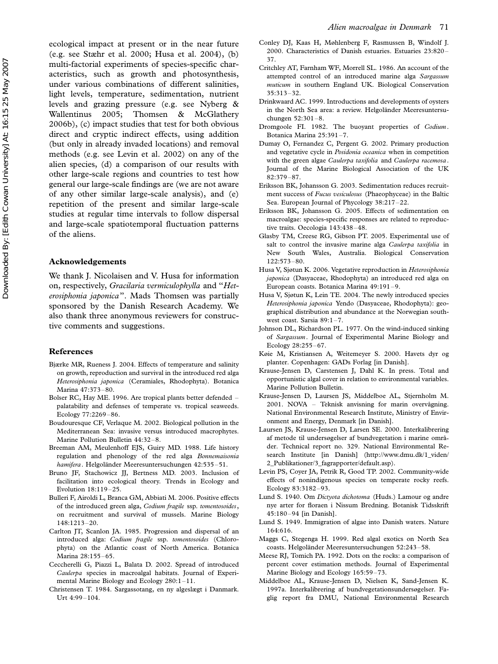ecological impact at present or in the near future (e.g. see Stæhr et al. 2000; Husa et al. 2004), (b) multi-factorial experiments of species-specific characteristics, such as growth and photosynthesis, under various combinations of different salinities, light levels, temperature, sedimentation, nutrient levels and grazing pressure (e.g. see Nyberg & Wallentinus 2005; Thomsen & McGlathery 2006b), (c) impact studies that test for both obvious direct and cryptic indirect effects, using addition (but only in already invaded locations) and removal methods (e.g. see Levin et al. 2002) on any of the alien species, (d) a comparison of our results with other large-scale regions and countries to test how general our large-scale findings are (we are not aware of any other similar large-scale analysis), and (e) repetition of the present and similar large-scale studies at regular time intervals to follow dispersal and large-scale spatiotemporal fluctuation patterns of the aliens.

#### Acknowledgements

We thank J. Nicolaisen and V. Husa for information on, respectively, Gracilaria vermiculophylla and ''Heterosiphonia japonica''. Mads Thomsen was partially sponsored by the Danish Research Academy. We also thank three anonymous reviewers for constructive comments and suggestions.

# References

- Bjærke MR, Rueness J. 2004. Effects of temperature and salinity on growth, reproduction and survival in the introduced red alga Heterosiphonia japonica (Ceramiales, Rhodophyta). Botanica Marina 47:373-80.
- Bolser RC, Hay ME. 1996. Are tropical plants better defended palatability and defenses of temperate vs. tropical seaweeds. Ecology 77:2269-86.
- Boudouresque CF, Verlaque M. 2002. Biological pollution in the Mediterranean Sea: invasive versus introduced macrophytes. Marine Pollution Bulletin 44:32-8.
- Breeman AM, Meulenhoff EJS, Guiry MD. 1988. Life history regulation and phenology of the red alga Bonnemaisonia hamifera. Helgoländer Meeresuntersuchungen 42:535-51.
- Bruno JF, Stachowicz JJ, Bertness MD. 2003. Inclusion of facilitation into ecological theory. Trends in Ecology and Evolution  $18:119-25$ .
- Bulleri F, Airoldi L, Branca GM, Abbiati M. 2006. Positive effects of the introduced green alga, Codium fragile ssp. tomentosoides, on recruitment and survival of mussels. Marine Biology 148:1213-20.
- Carlton JT, Scanlon JA. 1985. Progression and dispersal of an introduced alga: Codium fragile ssp. tomentosoides (Chlorophyta) on the Atlantic coast of North America. Botanica Marina 28:155-65.
- Ceccherelli G, Piazzi L, Balata D. 2002. Spread of introduced Caulerpa species in macroalgal habitats. Journal of Experimental Marine Biology and Ecology  $280:1-11$ .
- Christensen T. 1984. Sargassotang, en ny algeslægt i Danmark. Urt 4:99-104.
- Conley DJ, Kaas H, Møhlenberg F, Rasmussen B, Windolf J. 2000. Characteristics of Danish estuaries. Estuaries 23:820 37.
- Critchley AT, Farnham WF, Morrell SL. 1986. An account of the attempted control of an introduced marine alga Sargassum muticum in southern England UK. Biological Conservation 35:313-32.
- Drinkwaard AC. 1999. Introductions and developments of oysters in the North Sea area: a review. Helgoländer Meeresuntersuchungen  $52:301 - 8$
- Dromgoole FI. 1982. The buoyant properties of Codium. Botanica Marina 25:391-7.
- Dumay O, Fernandez C, Pergent G. 2002. Primary production and vegetative cycle in Posidonia oceanica when in competition with the green algae Caulerpa taxifolia and Caulerpa racemosa. Journal of the Marine Biological Association of the UK 82:379-87.
- Eriksson BK, Johansson G. 2003. Sedimentation reduces recruitment success of Fucus vesiculosus (Phaeophyceae) in the Baltic Sea. European Journal of Phycology 38:217-22.
- Eriksson BK, Johansson G. 2005. Effects of sedimentation on macroalgae: species-specific responses are related to reproductive traits. Oecologia 143:438-48.
- Glasby TM, Creese RG, Gibson PT. 2005. Experimental use of salt to control the invasive marine alga Caulerpa taxifolia in New South Wales, Australia. Biological Conservation  $122:573 - 80.$
- Husa V, Sjøtun K. 2006. Vegetative reproduction in Heterosiphonia japonica (Dasyaceae, Rhodophyta) an introduced red alga on European coasts. Botanica Marina 49:191-9.
- Husa V, Sjøtun K, Lein TE. 2004. The newly introduced species Heterosiphonia japonica Yendo (Dasyaceae, Rhodophyta): geographical distribution and abundance at the Norwegian southwest coast. Sarsia  $89:1-7$ .
- Johnson DL, Richardson PL. 1977. On the wind-induced sinking of Sargassum. Journal of Experimental Marine Biology and Ecology 28:255-67.
- Køie M, Kristiansen A, Weitemeyer S. 2000. Havets dyr og planter. Copenhagen: GADs Forlag [in Danish].
- Krause-Jensen D, Carstensen J, Dahl K. In press. Total and opportunistic algal cover in relation to environmental variables. Marine Pollution Bulletin.
- Krause-Jensen D, Laursen JS, Middelboe AL, Stjernholm M.  $2001.$  NOVA  $-$  Teknisk anvisning for marin overvågning. National Environmental Research Institute, Ministry of Environment and Energy, Denmark [in Danish].
- Laursen JS, Krause-Jensen D, Larsen SE. 2000. Interkalibrering af metode til undersøgelser af bundvegetation i marine områder. Technical report no. 329. National Environmental Research Institute [in Danish] (http://www.dmu.dk/1\_viden/ 2\_Publikationer/3\_fagrapporter/default.asp).
- Levin PS, Coyer JA, Petrik R, Good TP. 2002. Community-wide effects of nonindigenous species on temperate rocky reefs. Ecology 83:3182-93.
- Lund S. 1940. Om Dictyota dichotoma (Huds.) Lamour og andre nye arter for floraen i Nissum Bredning. Botanisk Tidsskrift 45:18094 [in Danish].
- Lund S. 1949. Immigration of algae into Danish waters. Nature 164:616.
- Maggs C, Stegenga H. 1999. Red algal exotics on North Sea coasts. Helgoländer Meeresuntersuchungen 52:243-58.
- Meese RJ, Tomich PA. 1992. Dots on the rocks: a comparison of percent cover estimation methods. Journal of Experimental Marine Biology and Ecology 165:59-73.
- Middelboe AL, Krause-Jensen D, Nielsen K, Sand-Jensen K. 1997a. Interkalibrering af bundvegetationsundersøgelser. Faglig report fra DMU, National Environmental Research